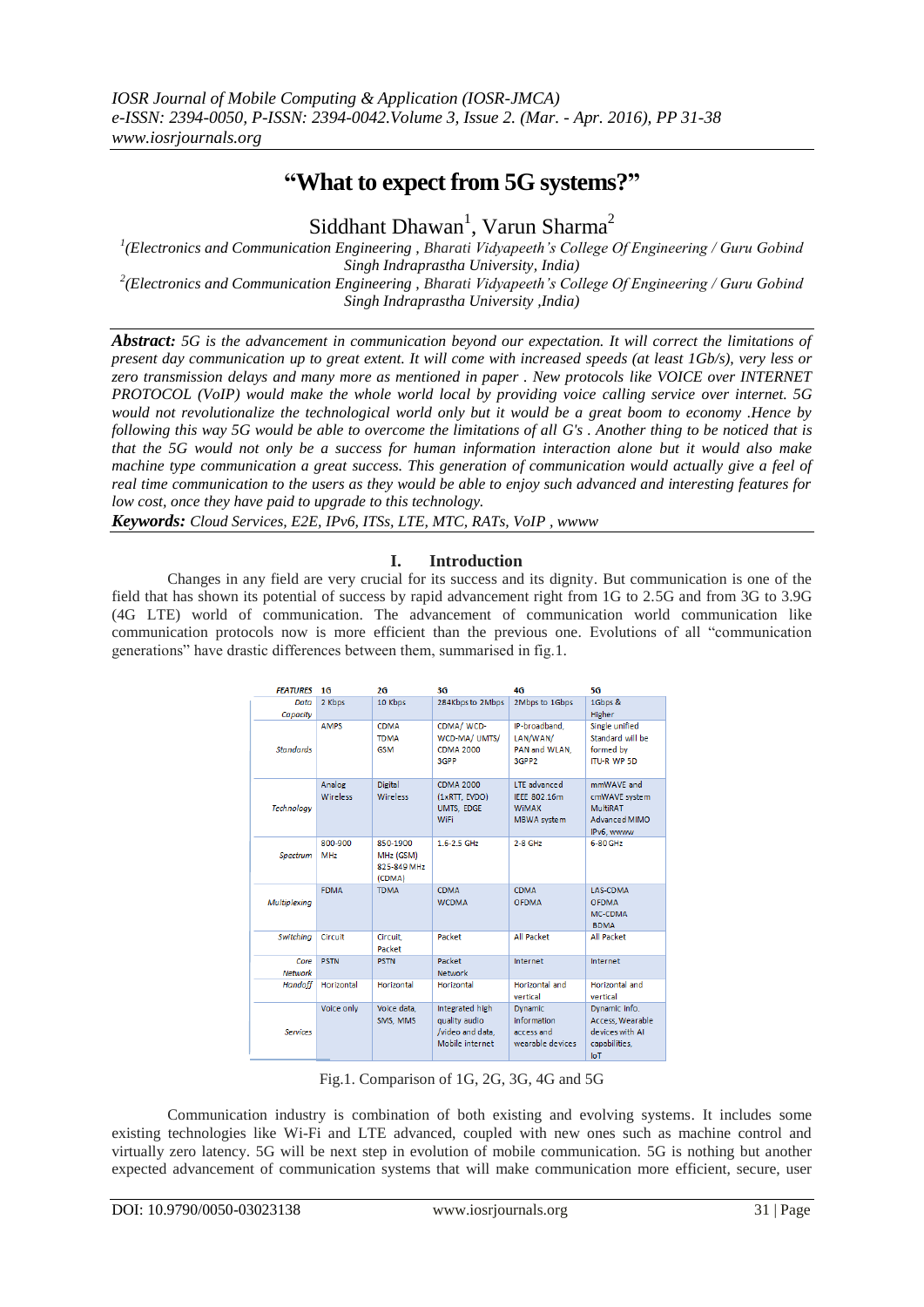# **"What to expect from 5G systems?"**

Siddhant Dhawan<sup>1</sup>, Varun Sharma<sup>2</sup>

*1 (Electronics and Communication Engineering , Bharati Vidyapeeth's College Of Engineering / Guru Gobind Singh Indraprastha University, India) 2 (Electronics and Communication Engineering , Bharati Vidyapeeth's College Of Engineering / Guru Gobind Singh Indraprastha University ,India)*

*Abstract: 5G is the advancement in communication beyond our expectation. It will correct the limitations of present day communication up to great extent. It will come with increased speeds (at least 1Gb/s), very less or zero transmission delays and many more as mentioned in paper . New protocols like VOICE over INTERNET PROTOCOL (VoIP) would make the whole world local by providing voice calling service over internet. 5G would not revolutionalize the technological world only but it would be a great boom to economy .Hence by following this way 5G would be able to overcome the limitations of all G's . Another thing to be noticed that is that the 5G would not only be a success for human information interaction alone but it would also make machine type communication a great success. This generation of communication would actually give a feel of real time communication to the users as they would be able to enjoy such advanced and interesting features for low cost, once they have paid to upgrade to this technology.*

*Keywords: Cloud Services, E2E, IPv6, ITSs, LTE, MTC, RATs, VoIP , wwww* 

### **I. Introduction**

Changes in any field are very crucial for its success and its dignity. But communication is one of the field that has shown its potential of success by rapid advancement right from 1G to 2.5G and from 3G to 3.9G (4G LTE) world of communication. The advancement of communication world communication like communication protocols now is more efficient than the previous one. Evolutions of all "communication generations" have drastic differences between them, summarised in fig.1.

| <b>FEATURES</b>  | 1G                        | 2G                                             | 3G                                                                      | 4G                                                                        | <b>5G</b>                                                                     |
|------------------|---------------------------|------------------------------------------------|-------------------------------------------------------------------------|---------------------------------------------------------------------------|-------------------------------------------------------------------------------|
| Data<br>Capacity | 2 Kbps                    | 10 Kbps                                        | 284Kbps to 2Mbps                                                        | 2Mbps to 1Gbps                                                            | 1Gbps &<br>Higher                                                             |
| <b>Standards</b> | <b>AMPS</b>               | <b>CDMA</b><br><b>TDMA</b><br><b>GSM</b>       | CDMA/ WCD-<br>WCD-MA/ UMTS/<br><b>CDMA 2000</b><br>3GPP                 | IP-broadband.<br>LAN/WAN/<br>PAN and WLAN.<br>3GPP2                       | Single unified<br>Standard will be<br>formed by<br><b>ITU-R WP 5D</b>         |
| Technoloav       | Analog<br><b>Wireless</b> | <b>Digital</b><br>Wireless                     | <b>CDMA 2000</b><br>(1xRTT, EVDO)<br>UMTS, EDGE<br>WiFi                 | <b>LTE</b> advanced<br>IEEE 802.16m<br><b>WIMAX</b><br><b>MBWA</b> system | mmWAVE and<br>cmWAVE system<br>MultiRAT<br>Advanced MIMO<br>IPv6, wwww        |
| Spectrum         | 800-900<br><b>MHz</b>     | 850-1900<br>MHz (GSM)<br>825-849 MHz<br>(CDMA) | 1.6-2.5 GHz                                                             | $2 - 8$ GHz                                                               | 6-80 GHz                                                                      |
| Multiplexing     | <b>FDMA</b>               | <b>TDMA</b>                                    | <b>CDMA</b><br><b>WCDMA</b>                                             | <b>CDMA</b><br><b>OFDMA</b>                                               | <b>LAS-CDMA</b><br><b>OFDMA</b><br>MC-CDMA<br><b>BDMA</b>                     |
| Switching        | Circuit                   | Circuit.<br>Packet                             | Packet                                                                  | All Packet                                                                | All Packet                                                                    |
| Core<br>Network  | <b>PSTN</b>               | <b>PSTN</b>                                    | Packet<br><b>Network</b>                                                | Internet                                                                  | Internet                                                                      |
| Handoff          | Horizontal                | Horizontal                                     | <b>Horizontal</b>                                                       | Horizontal and<br>vertical                                                | Horizontal and<br>vertical                                                    |
| <b>Services</b>  | Voice only                | Voice data.<br>SMS, MMS                        | Integrated high<br>quality audio<br>/video and data.<br>Mobile internet | <b>Dynamic</b><br>information<br>access and<br>wearable devices           | Dynamic info.<br>Access, Wearable<br>devices with AI<br>capabilities,<br>InT. |

Fig.1. Comparison of 1G, 2G, 3G, 4G and 5G

Communication industry is combination of both existing and evolving systems. It includes some existing technologies like Wi-Fi and LTE advanced, coupled with new ones such as machine control and virtually zero latency. 5G will be next step in evolution of mobile communication. 5G is nothing but another expected advancement of communication systems that will make communication more efficient, secure, user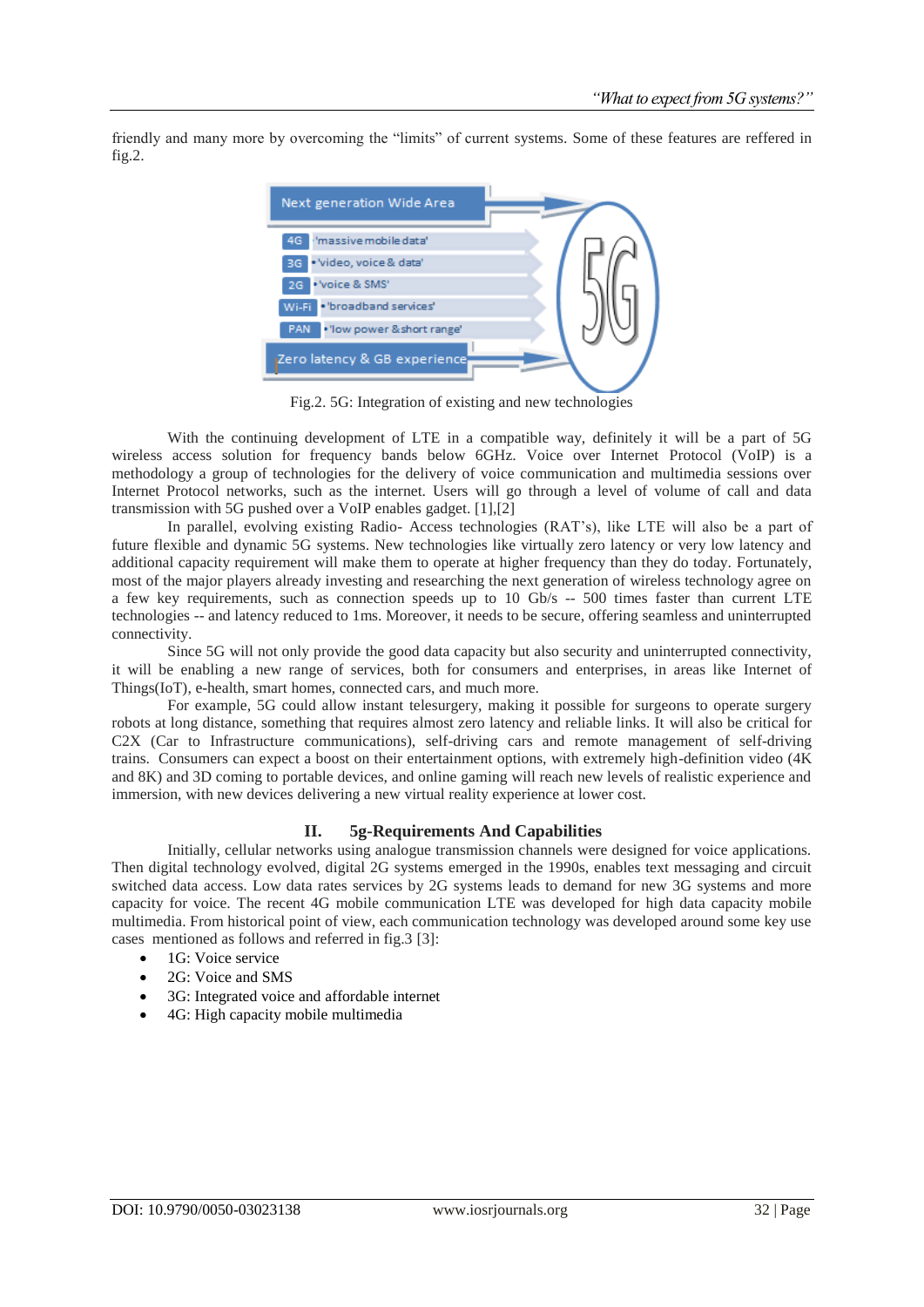friendly and many more by overcoming the "limits" of current systems. Some of these features are reffered in fig.2.

| <b>Next generation Wide Area</b>          |  |
|-------------------------------------------|--|
| 'massive mobile data'<br>4G               |  |
| BG . Video, voice & data'                 |  |
| · 'voice & SMS'<br>2G                     |  |
| WEET . "broadband services"               |  |
| · 'low power & short range'<br><b>PAN</b> |  |
| Zero latency & GB experience              |  |

Fig.2. 5G: Integration of existing and new technologies

With the continuing development of LTE in a compatible way, definitely it will be a part of 5G wireless access solution for frequency bands below 6GHz. Voice over Internet Protocol (VoIP) is a methodology a group of technologies for the delivery of voice communication and multimedia sessions over Internet Protocol networks, such as the internet. Users will go through a level of volume of call and data transmission with 5G pushed over a VoIP enables gadget. [1],[2]

In parallel, evolving existing Radio- Access technologies (RAT's), like LTE will also be a part of future flexible and dynamic 5G systems. New technologies like virtually zero latency or very low latency and additional capacity requirement will make them to operate at higher frequency than they do today. Fortunately, most of the major players already investing and researching the next generation of wireless technology agree on a few key requirements, such as connection speeds up to 10 Gb/s -- 500 times faster than current LTE technologies -- and latency reduced to 1ms. Moreover, it needs to be secure, offering seamless and uninterrupted connectivity.

Since 5G will not only provide the good data capacity but also security and uninterrupted connectivity, it will be enabling a new range of services, both for consumers and enterprises, in areas like Internet of Things(IoT), e-health, smart homes, connected cars, and much more.

For example, 5G could allow instant telesurgery, making it possible for surgeons to operate surgery robots at long distance, something that requires almost zero latency and reliable links. It will also be critical for C2X (Car to Infrastructure communications), self-driving cars and remote management of self-driving trains. Consumers can expect a boost on their entertainment options, with extremely high-definition video (4K and 8K) and 3D coming to portable devices, and online gaming will reach new levels of realistic experience and immersion, with new devices delivering a new virtual reality experience at lower cost.

#### **II. 5g-Requirements And Capabilities**

Initially, cellular networks using analogue transmission channels were designed for voice applications. Then digital technology evolved, digital 2G systems emerged in the 1990s, enables text messaging and circuit switched data access. Low data rates services by 2G systems leads to demand for new 3G systems and more capacity for voice. The recent 4G mobile communication LTE was developed for high data capacity mobile multimedia. From historical point of view, each communication technology was developed around some key use cases mentioned as follows and referred in fig.3 [3]:

- 1G: Voice service
- 2G: Voice and SMS
- 3G: Integrated voice and affordable internet
- 4G: High capacity mobile multimedia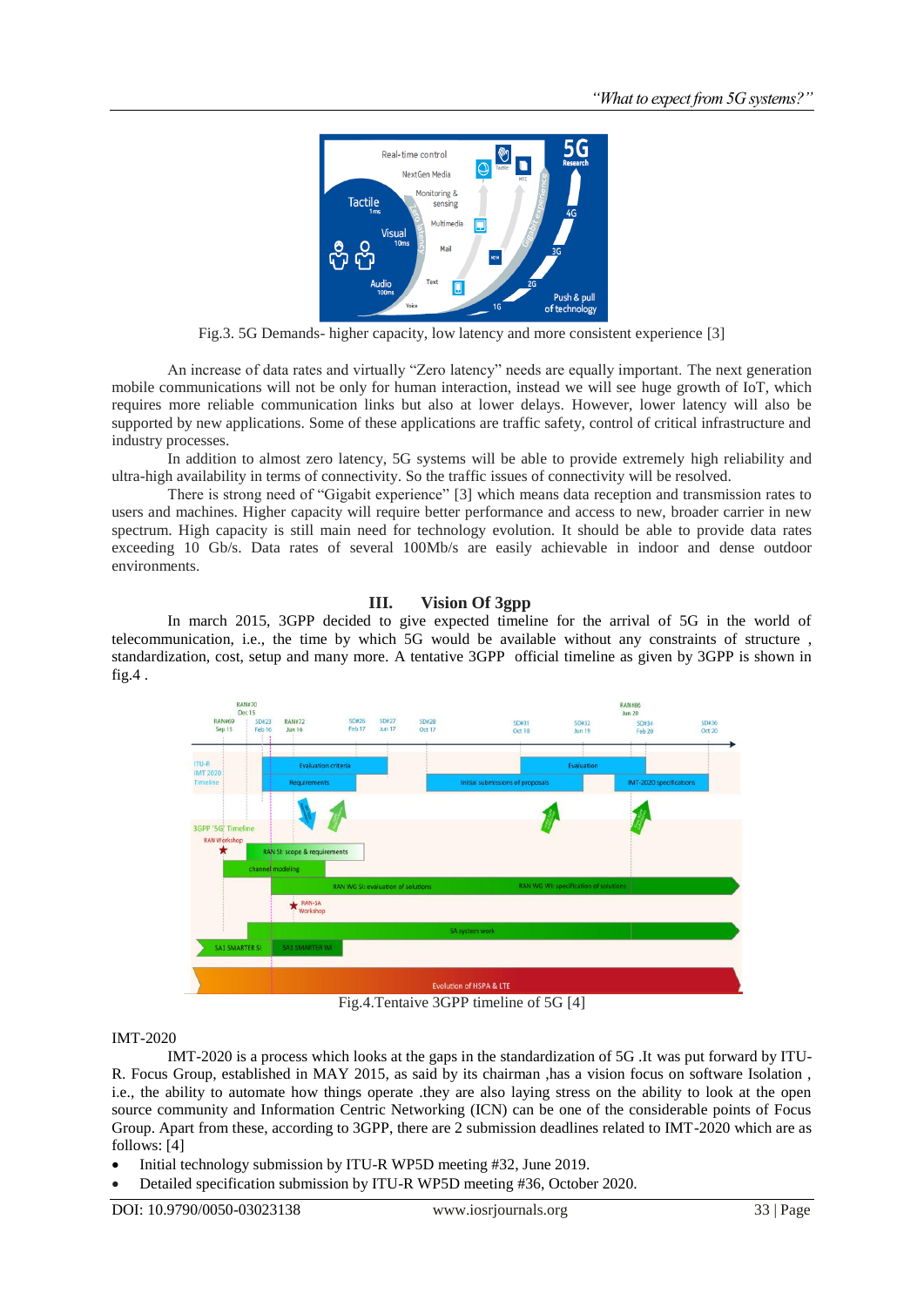

Fig.3. 5G Demands- higher capacity, low latency and more consistent experience [3]

An increase of data rates and virtually "Zero latency" needs are equally important. The next generation mobile communications will not be only for human interaction, instead we will see huge growth of IoT, which requires more reliable communication links but also at lower delays. However, lower latency will also be supported by new applications. Some of these applications are traffic safety, control of critical infrastructure and industry processes.

In addition to almost zero latency, 5G systems will be able to provide extremely high reliability and ultra-high availability in terms of connectivity. So the traffic issues of connectivity will be resolved.

There is strong need of "Gigabit experience" [3] which means data reception and transmission rates to users and machines. Higher capacity will require better performance and access to new, broader carrier in new spectrum. High capacity is still main need for technology evolution. It should be able to provide data rates exceeding 10 Gb/s. Data rates of several 100Mb/s are easily achievable in indoor and dense outdoor environments.

#### **III. Vision Of 3gpp**

In march 2015, 3GPP decided to give expected timeline for the arrival of 5G in the world of telecommunication, i.e., the time by which 5G would be available without any constraints of structure , standardization, cost, setup and many more. A tentative 3GPP official timeline as given by 3GPP is shown in  $fig.4$ .



Fig.4.Tentaive 3GPP timeline of 5G [4]

### IMT-2020

IMT-2020 is a process which looks at the gaps in the standardization of 5G .It was put forward by ITU-R. Focus Group, established in MAY 2015, as said by its chairman ,has a vision focus on software Isolation , i.e., the ability to automate how things operate .they are also laying stress on the ability to look at the open source community and Information Centric Networking (ICN) can be one of the considerable points of Focus Group. Apart from these, according to 3GPP, there are 2 submission deadlines related to IMT-2020 which are as follows: [4]

- Initial technology submission by ITU-R WP5D meeting #32, June 2019.
- Detailed specification submission by ITU-R WP5D meeting #36, October 2020.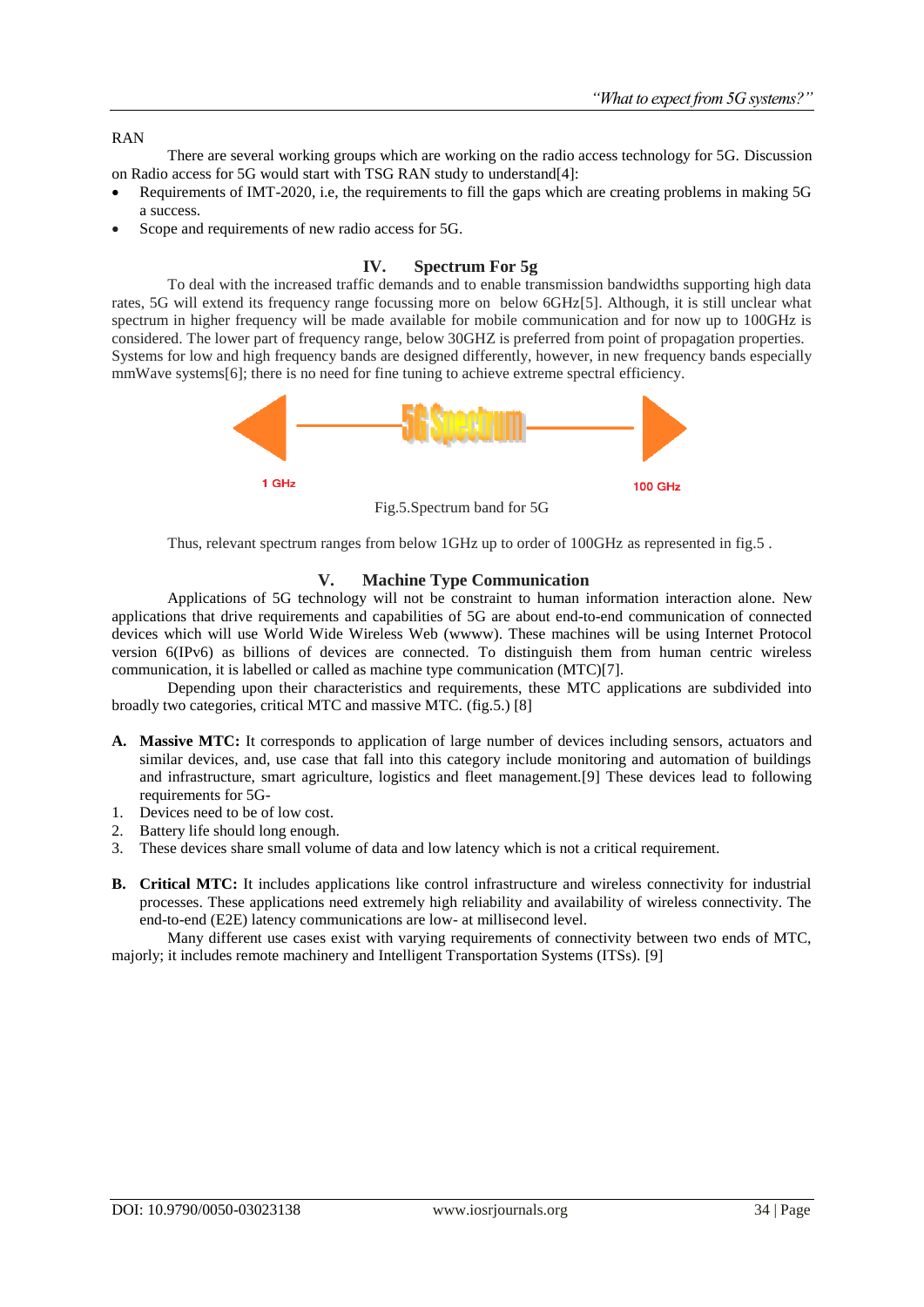#### RAN

There are several working groups which are working on the radio access technology for 5G. Discussion on Radio access for 5G would start with TSG RAN study to understand[4]:

- Requirements of IMT-2020, i.e, the requirements to fill the gaps which are creating problems in making 5G a success.
- Scope and requirements of new radio access for 5G.

### **IV. Spectrum For 5g**

To deal with the increased traffic demands and to enable transmission bandwidths supporting high data rates, 5G will extend its frequency range focussing more on below 6GHz[5]. Although, it is still unclear what spectrum in higher frequency will be made available for mobile communication and for now up to 100GHz is considered. The lower part of frequency range, below 30GHZ is preferred from point of propagation properties. Systems for low and high frequency bands are designed differently, however, in new frequency bands especially mmWave systems[6]; there is no need for fine tuning to achieve extreme spectral efficiency.



Thus, relevant spectrum ranges from below 1GHz up to order of 100GHz as represented in fig.5 .

### **V. Machine Type Communication**

Applications of 5G technology will not be constraint to human information interaction alone. New applications that drive requirements and capabilities of 5G are about end-to-end communication of connected devices which will use World Wide Wireless Web (wwww). These machines will be using Internet Protocol version 6(IPv6) as billions of devices are connected. To distinguish them from human centric wireless communication, it is labelled or called as machine type communication (MTC)[7].

Depending upon their characteristics and requirements, these MTC applications are subdivided into broadly two categories, critical MTC and massive MTC. (fig.5.) [8]

- **A. Massive MTC:** It corresponds to application of large number of devices including sensors, actuators and similar devices, and, use case that fall into this category include monitoring and automation of buildings and infrastructure, smart agriculture, logistics and fleet management.[9] These devices lead to following requirements for 5G-
- 1. Devices need to be of low cost.
- 2. Battery life should long enough.
- 3. These devices share small volume of data and low latency which is not a critical requirement.
- **B. Critical MTC:** It includes applications like control infrastructure and wireless connectivity for industrial processes. These applications need extremely high reliability and availability of wireless connectivity. The end-to-end (E2E) latency communications are low- at millisecond level.

Many different use cases exist with varying requirements of connectivity between two ends of MTC, majorly; it includes remote machinery and Intelligent Transportation Systems (ITSs). [9]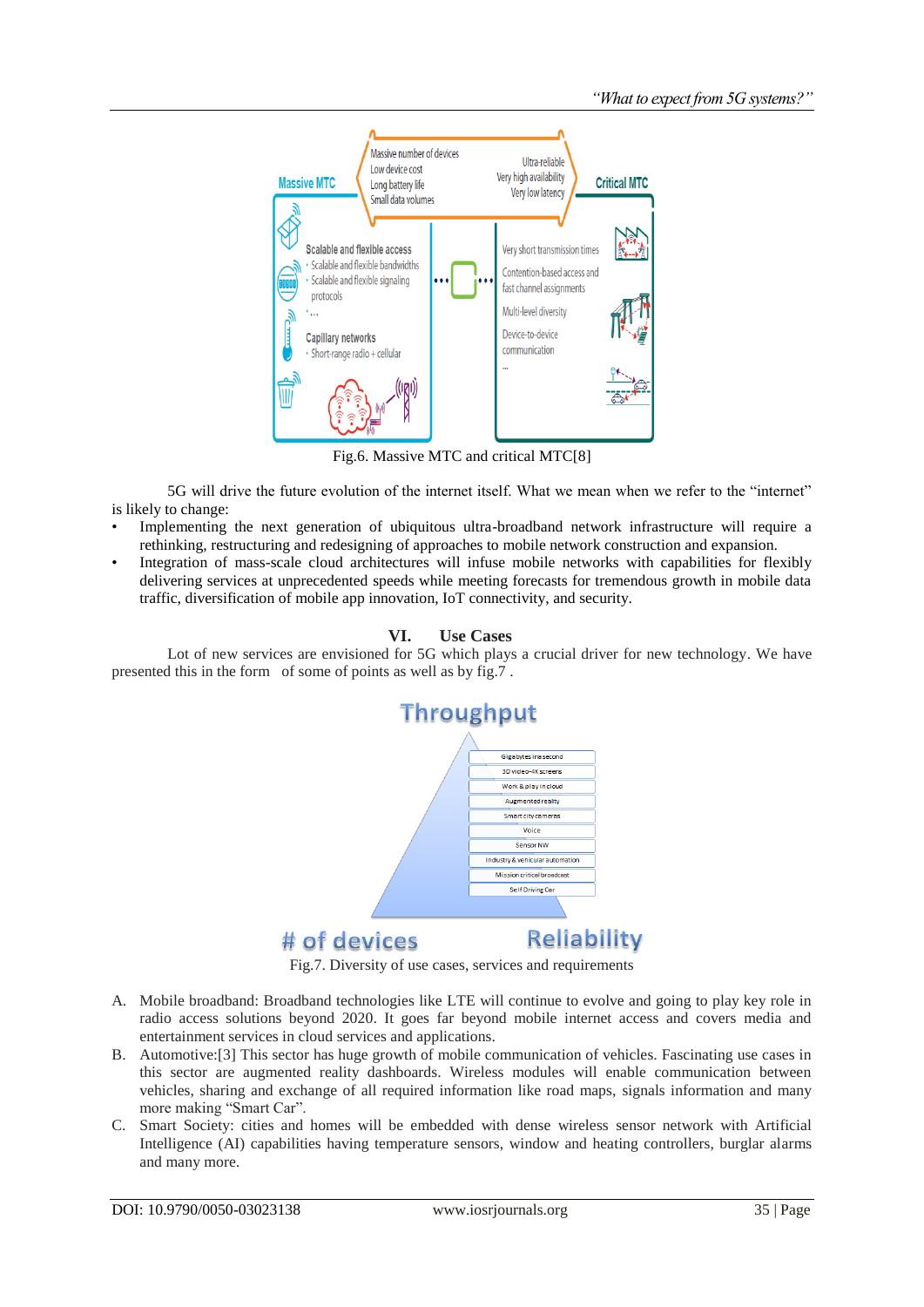

Fig.6. Massive MTC and critical MTC[8]

5G will drive the future evolution of the internet itself. What we mean when we refer to the "internet" is likely to change:

- Implementing the next generation of ubiquitous ultra-broadband network infrastructure will require a rethinking, restructuring and redesigning of approaches to mobile network construction and expansion.
- Integration of mass-scale cloud architectures will infuse mobile networks with capabilities for flexibly delivering services at unprecedented speeds while meeting forecasts for tremendous growth in mobile data traffic, diversification of mobile app innovation, IoT connectivity, and security.

### **VI. Use Cases**

Lot of new services are envisioned for 5G which plays a crucial driver for new technology. We have presented this in the form of some of points as well as by fig.7 .



Fig.7. Diversity of use cases, services and requirements

- A. Mobile broadband: Broadband technologies like LTE will continue to evolve and going to play key role in radio access solutions beyond 2020. It goes far beyond mobile internet access and covers media and entertainment services in cloud services and applications.
- B. Automotive:[3] This sector has huge growth of mobile communication of vehicles. Fascinating use cases in this sector are augmented reality dashboards. Wireless modules will enable communication between vehicles, sharing and exchange of all required information like road maps, signals information and many more making "Smart Car".
- C. Smart Society: cities and homes will be embedded with dense wireless sensor network with Artificial Intelligence (AI) capabilities having temperature sensors, window and heating controllers, burglar alarms and many more.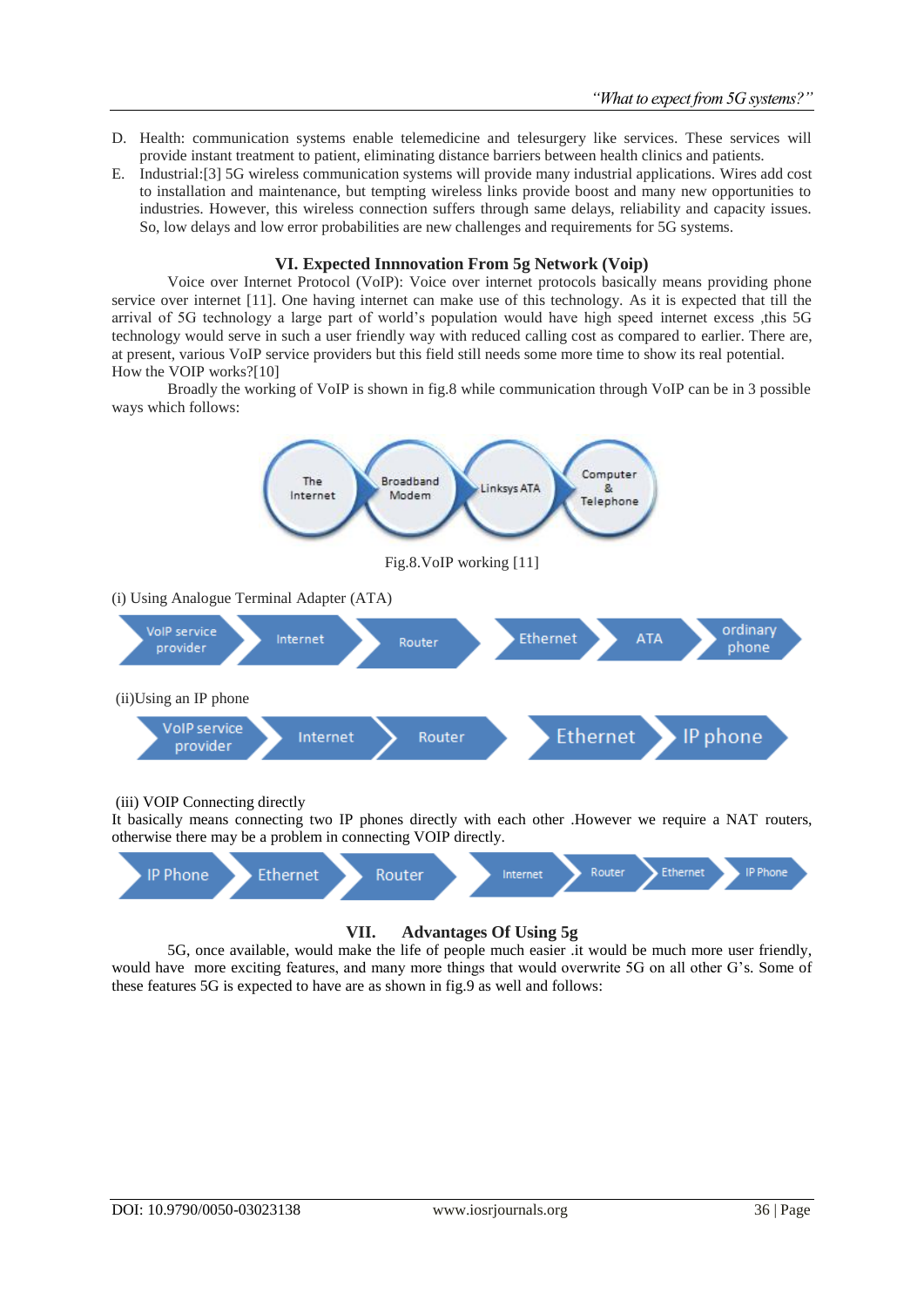- D. Health: communication systems enable telemedicine and telesurgery like services. These services will provide instant treatment to patient, eliminating distance barriers between health clinics and patients.
- E. Industrial:[3] 5G wireless communication systems will provide many industrial applications. Wires add cost to installation and maintenance, but tempting wireless links provide boost and many new opportunities to industries. However, this wireless connection suffers through same delays, reliability and capacity issues. So, low delays and low error probabilities are new challenges and requirements for 5G systems.

#### **VI. Expected Innnovation From 5g Network (Voip)**

Voice over Internet Protocol (VoIP): Voice over internet protocols basically means providing phone service over internet [11]. One having internet can make use of this technology. As it is expected that till the arrival of 5G technology a large part of world's population would have high speed internet excess ,this 5G technology would serve in such a user friendly way with reduced calling cost as compared to earlier. There are, at present, various VoIP service providers but this field still needs some more time to show its real potential. How the VOIP works?[10]

Broadly the working of VoIP is shown in fig.8 while communication through VoIP can be in 3 possible ways which follows:



(iii) VOIP Connecting directly

It basically means connecting two IP phones directly with each other .However we require a NAT routers, otherwise there may be a problem in connecting VOIP directly.



## **VII. Advantages Of Using 5g**

5G, once available, would make the life of people much easier .it would be much more user friendly, would have more exciting features, and many more things that would overwrite 5G on all other G's. Some of these features 5G is expected to have are as shown in fig.9 as well and follows: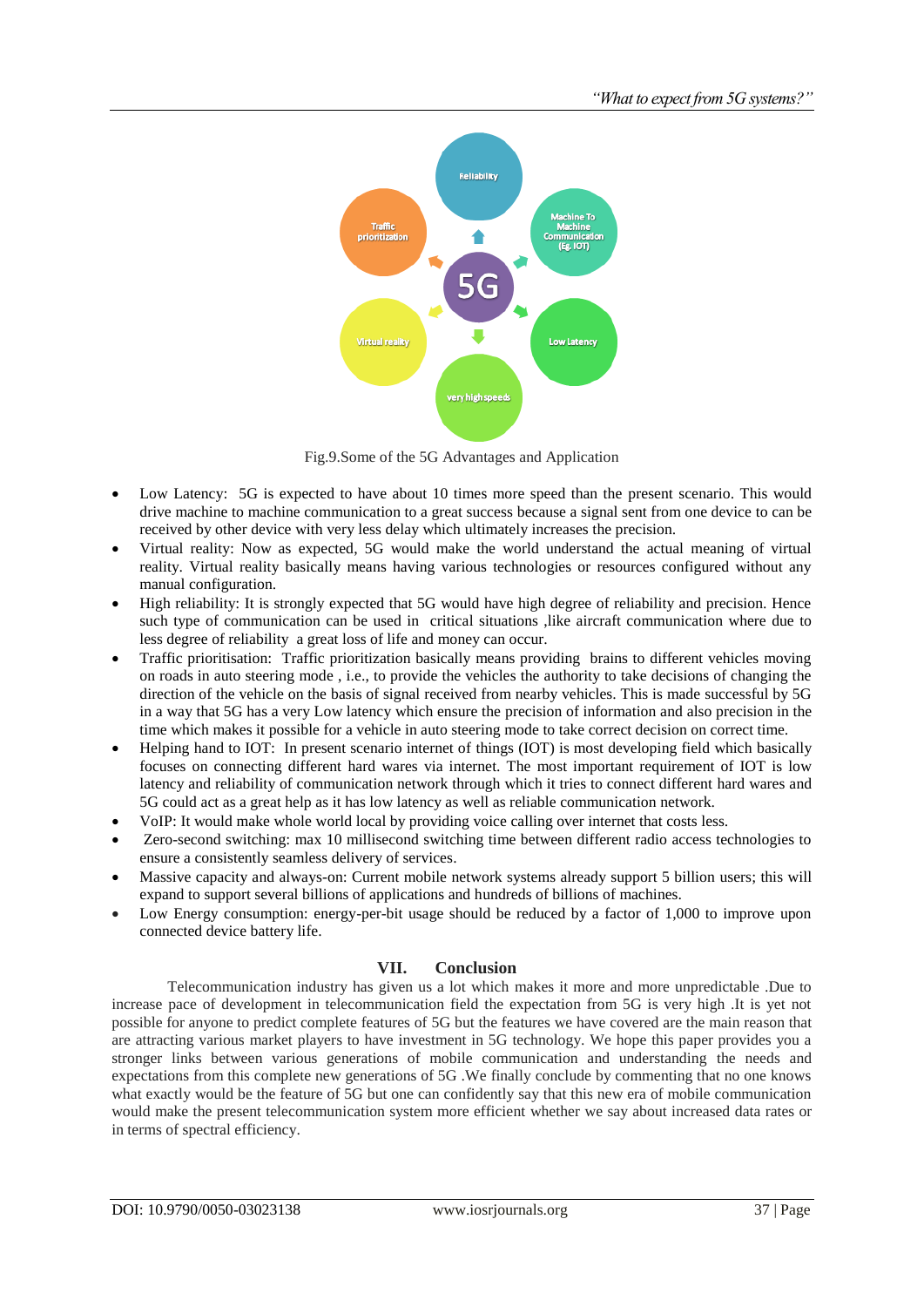

Fig.9.Some of the 5G Advantages and Application

- Low Latency: 5G is expected to have about 10 times more speed than the present scenario. This would drive machine to machine communication to a great success because a signal sent from one device to can be received by other device with very less delay which ultimately increases the precision.
- Virtual reality: Now as expected, 5G would make the world understand the actual meaning of virtual reality. Virtual reality basically means having various technologies or resources configured without any manual configuration.
- High reliability: It is strongly expected that 5G would have high degree of reliability and precision. Hence such type of communication can be used in critical situations ,like aircraft communication where due to less degree of reliability a great loss of life and money can occur.
- Traffic prioritisation: Traffic prioritization basically means providing brains to different vehicles moving on roads in auto steering mode , i.e., to provide the vehicles the authority to take decisions of changing the direction of the vehicle on the basis of signal received from nearby vehicles. This is made successful by 5G in a way that 5G has a very Low latency which ensure the precision of information and also precision in the time which makes it possible for a vehicle in auto steering mode to take correct decision on correct time.
- Helping hand to IOT: In present scenario internet of things (IOT) is most developing field which basically focuses on connecting different hard wares via internet. The most important requirement of IOT is low latency and reliability of communication network through which it tries to connect different hard wares and 5G could act as a great help as it has low latency as well as reliable communication network.
- VoIP: It would make whole world local by providing voice calling over internet that costs less.
- Zero-second switching: max 10 millisecond switching time between different radio access technologies to ensure a consistently seamless delivery of services.
- Massive capacity and always-on: Current mobile network systems already support 5 billion users; this will expand to support several billions of applications and hundreds of billions of machines.
- Low Energy consumption: energy-per-bit usage should be reduced by a factor of 1,000 to improve upon connected device battery life.

#### **VII. Conclusion**

Telecommunication industry has given us a lot which makes it more and more unpredictable .Due to increase pace of development in telecommunication field the expectation from 5G is very high .It is yet not possible for anyone to predict complete features of 5G but the features we have covered are the main reason that are attracting various market players to have investment in 5G technology. We hope this paper provides you a stronger links between various generations of mobile communication and understanding the needs and expectations from this complete new generations of 5G .We finally conclude by commenting that no one knows what exactly would be the feature of 5G but one can confidently say that this new era of mobile communication would make the present telecommunication system more efficient whether we say about increased data rates or in terms of spectral efficiency.